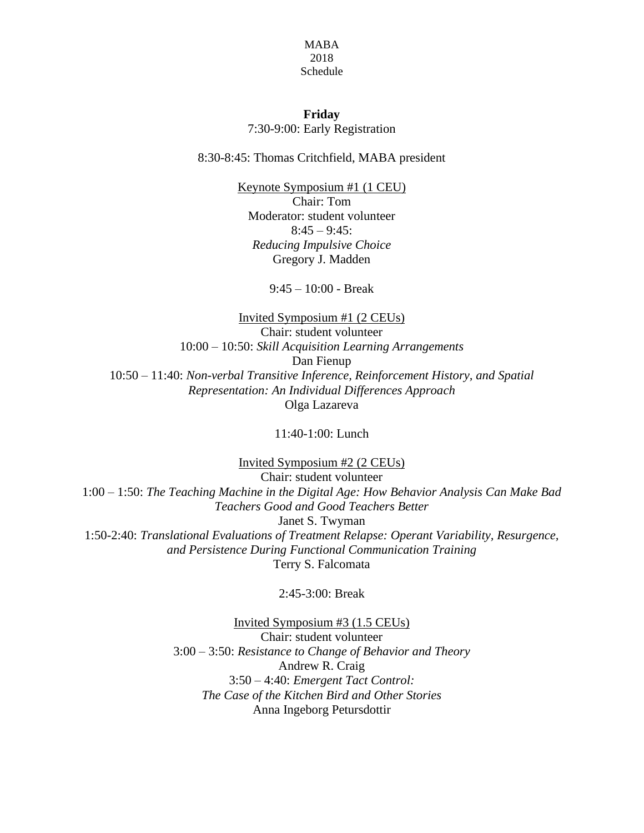## MABA 2018 Schedule

## **Friday** 7:30-9:00: Early Registration

8:30-8:45: Thomas Critchfield, MABA president

Keynote Symposium #1 (1 CEU) Chair: Tom Moderator: student volunteer  $8:45 - 9:45$ : *Reducing Impulsive Choice* Gregory J. Madden

9:45 – 10:00 - Break

Invited Symposium #1 (2 CEUs) Chair: student volunteer 10:00 – 10:50: *Skill Acquisition Learning Arrangements* Dan Fienup 10:50 – 11:40: *Non-verbal Transitive Inference, Reinforcement History, and Spatial Representation: An Individual Differences Approach* Olga Lazareva

11:40-1:00: Lunch

Invited Symposium #2 (2 CEUs) Chair: student volunteer 1:00 – 1:50: *The Teaching Machine in the Digital Age: How Behavior Analysis Can Make Bad Teachers Good and Good Teachers Better* Janet S. Twyman 1:50-2:40: *Translational Evaluations of Treatment Relapse: Operant Variability, Resurgence, and Persistence During Functional Communication Training* Terry S. Falcomata

2:45-3:00: Break

Invited Symposium #3 (1.5 CEUs) Chair: student volunteer 3:00 – 3:50: *Resistance to Change of Behavior and Theory* Andrew R. Craig 3:50 – 4:40: *Emergent Tact Control: The Case of the Kitchen Bird and Other Stories* Anna Ingeborg Petursdottir